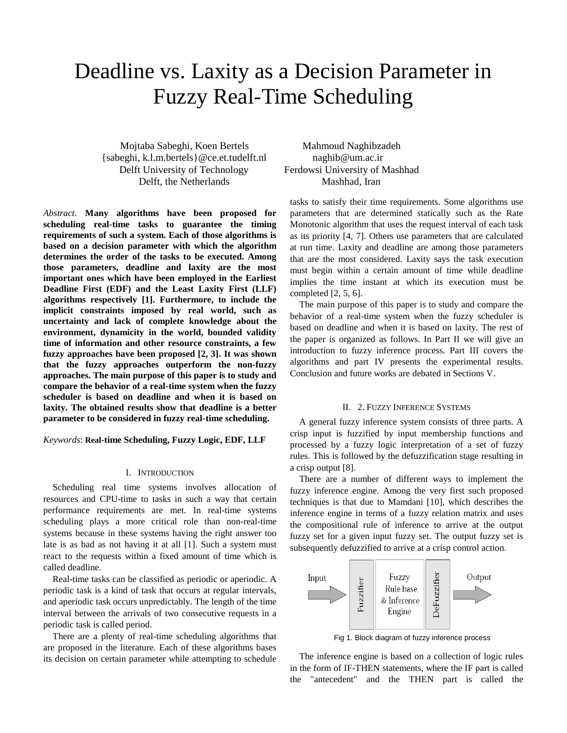# Deadline vs. Laxity as a Decision Parameter in Fuzzy Real-Time Scheduling

 Mojtaba Sabeghi, Koen Bertels Mahmoud Naghibzadeh {sabeghi, k.l.m.bertels}@ce.et.tudelft.nl naghib@um.ac.ir Delft University of Technology Ferdowsi University of Mashhad Delft, the Netherlands Mashhad, Iran

*Abstract*. **Many algorithms have been proposed for scheduling real-time tasks to guarantee the timing requirements of such a system. Each of those algorithms is based on a decision parameter with which the algorithm determines the order of the tasks to be executed. Among those parameters, deadline and laxity are the most important ones which have been employed in the Earliest Deadline First (EDF) and the Least Laxity First (LLF) algorithms respectively [1]. Furthermore, to include the implicit constraints imposed by real world, such as uncertainty and lack of complete knowledge about the environment, dynamicity in the world, bounded validity time of information and other resource constraints, a few fuzzy approaches have been proposed [2, 3]. It was shown that the fuzzy approaches outperform the non-fuzzy approaches. The main purpose of this paper is to study and compare the behavior of a real-time system when the fuzzy scheduler is based on deadline and when it is based on laxity. The obtained results show that deadline is a better parameter to be considered in fuzzy real-time scheduling.**

*Keywords*: **Real-time Scheduling, Fuzzy Logic, EDF, LLF**

### I. INTRODUCTION

Scheduling real time systems involves allocation of resources and CPU-time to tasks in such a way that certain performance requirements are met. In real-time systems scheduling plays a more critical role than non-real-time systems because in these systems having the right answer too late is as bad as not having it at all [1]. Such a system must react to the requests within a fixed amount of time which is called deadline.

Real-time tasks can be classified as periodic or aperiodic. A periodic task is a kind of task that occurs at regular intervals, and aperiodic task occurs unpredictably. The length of the time interval between the arrivals of two consecutive requests in a periodic task is called period.

There are a plenty of real-time scheduling algorithms that are proposed in the literature. Each of these algorithms bases its decision on certain parameter while attempting to schedule

tasks to satisfy their time requirements. Some algorithms use parameters that are determined statically such as the Rate Monotonic algorithm that uses the request interval of each task as its priority [4, 7]. Others use parameters that are calculated at run time. Laxity and deadline are among those parameters that are the most considered. Laxity says the task execution must begin within a certain amount of time while deadline implies the time instant at which its execution must be completed [2, 5, 6].

The main purpose of this paper is to study and compare the behavior of a real-time system when the fuzzy scheduler is based on deadline and when it is based on laxity. The rest of the paper is organized as follows. In Part II we will give an introduction to fuzzy inference process. Part III covers the algorithms and part IV presents the experimental results. Conclusion and future works are debated in Sections V.

## II. 2. FUZZY INFERENCE SYSTEMS

A general fuzzy inference system consists of three parts. A crisp input is fuzzified by input membership functions and processed by a fuzzy logic interpretation of a set of fuzzy rules. This is followed by the defuzzification stage resulting in a crisp output [8].

There are a number of different ways to implement the fuzzy inference engine. Among the very first such proposed techniques is that due to Mamdani [10], which describes the inference engine in terms of a fuzzy relation matrix and uses the compositional rule of inference to arrive at the output fuzzy set for a given input fuzzy set. The output fuzzy set is subsequently defuzzified to arrive at a crisp control action.



Fig 1. Block diagram of fuzzy inference process

The inference engine is based on a collection of logic rules in the form of IF-THEN statements, where the IF part is called the "antecedent" and the THEN part is called the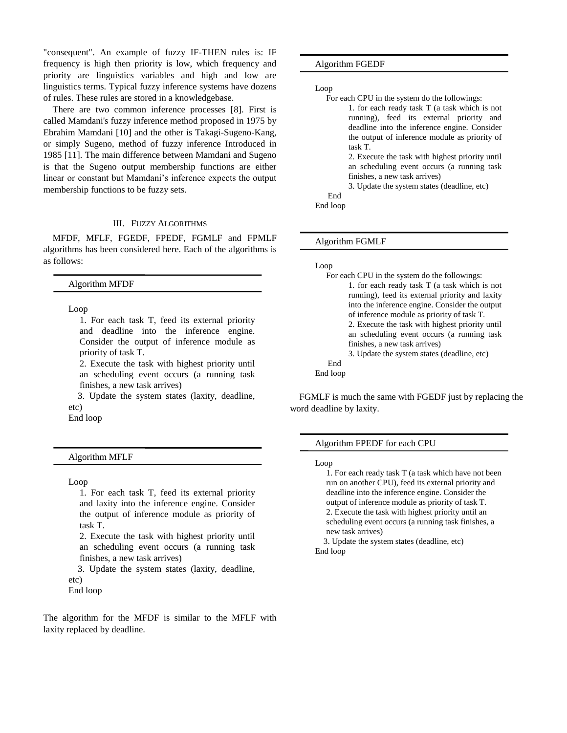"consequent". An example of fuzzy IF-THEN rules is: IF frequency is high then priority is low, which frequency and priority are linguistics variables and high and low are linguistics terms. Typical fuzzy inference systems have dozens of rules. These rules are stored in a knowledgebase.

There are two common inference processes [8]. First is called Mamdani's fuzzy inference method proposed in 1975 by Ebrahim Mamdani [10] and the other is Takagi-Sugeno-Kang, or simply Sugeno, method of fuzzy inference Introduced in 1985 [11]. The main difference between Mamdani and Sugeno is that the Sugeno output membership functions are either linear or constant but Mamdani's inference expects the output membership functions to be fuzzy sets.

# III. FUZZY ALGORITHMS

MFDF, MFLF, FGEDF, FPEDF, FGMLF and FPMLF algorithms has been considered here. Each of the algorithms is as follows:

# Algorithm MFDF

Loop

1. For each task T, feed its external priority and deadline into the inference engine. Consider the output of inference module as priority of task T.

2. Execute the task with highest priority until an scheduling event occurs (a running task finishes, a new task arrives)

 3. Update the system states (laxity, deadline, etc)

End loop

Algorithm MFLF

## Loop

1. For each task T, feed its external priority and laxity into the inference engine. Consider the output of inference module as priority of task T.

2. Execute the task with highest priority until an scheduling event occurs (a running task finishes, a new task arrives)

 3. Update the system states (laxity, deadline, etc)

End loop

The algorithm for the MFDF is similar to the MFLF with laxity replaced by deadline.

Algorithm FGEDF

Loop

For each CPU in the system do the followings:

1. for each ready task T (a task which is not running), feed its external priority and deadline into the inference engine. Consider the output of inference module as priority of task T.

2. Execute the task with highest priority until an scheduling event occurs (a running task finishes, a new task arrives)

3. Update the system states (deadline, etc)

 End End loop

Algorithm FGMLF

#### Loop

For each CPU in the system do the followings: 1. for each ready task T (a task which is not running), feed its external priority and laxity into the inference engine. Consider the output of inference module as priority of task T. 2. Execute the task with highest priority until an scheduling event occurs (a running task finishes, a new task arrives) 3. Update the system states (deadline, etc) End End loop

FGMLF is much the same with FGEDF just by replacing the word deadline by laxity.

# Algorithm FPEDF for each CPU

Loop

1. For each ready task T (a task which have not been run on another CPU), feed its external priority and deadline into the inference engine. Consider the output of inference module as priority of task T. 2. Execute the task with highest priority until an scheduling event occurs (a running task finishes, a new task arrives)

 3. Update the system states (deadline, etc) End loop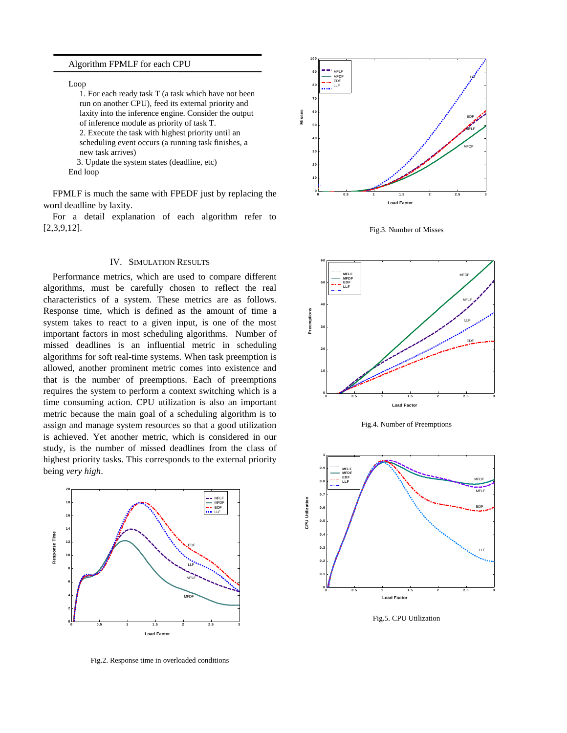## Algorithm FPMLF for each CPU

Loop

1. For each ready task T (a task which have not been run on another CPU), feed its external priority and laxity into the inference engine. Consider the output of inference module as priority of task T. 2. Execute the task with highest priority until an

scheduling event occurs (a running task finishes, a new task arrives)

3. Update the system states (deadline, etc)

End loop

FPMLF is much the same with FPEDF just by replacing the word deadline by laxity.

For a detail explanation of each algorithm refer to [2,3,9,12].

# IV. SIMULATION RESULTS

Performance metrics, which are used to compare different algorithms, must be carefully chosen to reflect the real characteristics of a system. These metrics are as follows. Response time, which is defined as the amount of time a system takes to react to a given input, is one of the most important factors in most scheduling algorithms. Number of missed deadlines is an influential metric in scheduling algorithms for soft real-time systems. When task preemption is allowed, another prominent metric comes into existence and that is the number of preemptions. Each of preemptions requires the system to perform a context switching which is a time consuming action. CPU utilization is also an important metric because the main goal of a scheduling algorithm is to assign and manage system resources so that a good utilization is achieved. Yet another metric, which is considered in our study, is the number of missed deadlines from the class of highest priority tasks. This corresponds to the external priority



Fig.2. Response time in overloaded conditions



Fig.3. Number of Misses



Fig.4. Number of Preemptions



Fig.5. CPU Utilization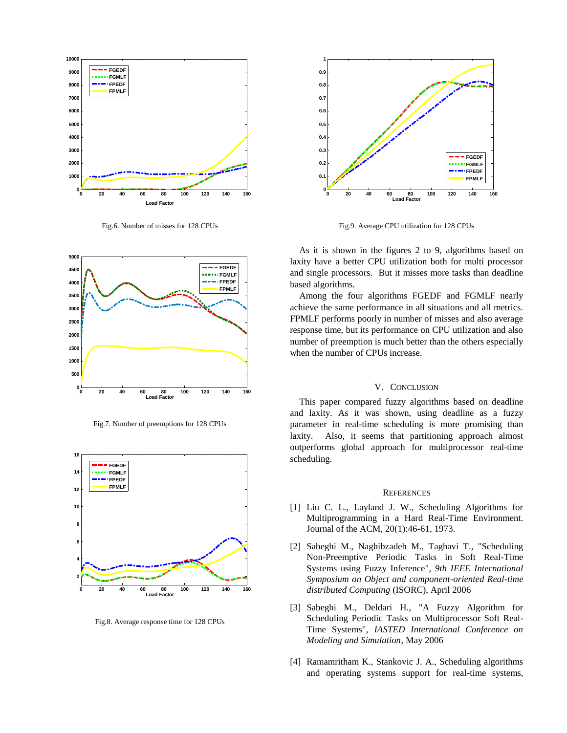

Fig.6. Number of misses for 128 CPUs



Fig.7. Number of preemptions for 128 CPUs



Fig.8. Average response time for 128 CPUs



Fig.9. Average CPU utilization for 128 CPUs

As it is shown in the figures 2 to 9, algorithms based on laxity have a better CPU utilization both for multi processor and single processors. But it misses more tasks than deadline based algorithms.

Among the four algorithms FGEDF and FGMLF nearly achieve the same performance in all situations and all metrics. FPMLF performs poorly in number of misses and also average response time, but its performance on CPU utilization and also number of preemption is much better than the others especially when the number of CPUs increase.

## V. CONCLUSION

This paper compared fuzzy algorithms based on deadline and laxity. As it was shown, using deadline as a fuzzy parameter in real-time scheduling is more promising than laxity. Also, it seems that partitioning approach almost outperforms global approach for multiprocessor real-time scheduling.

#### **REFERENCES**

- [1] Liu C. L., Layland J. W., Scheduling Algorithms for Multiprogramming in a Hard Real-Time Environment. Journal of the ACM, 20(1):46-61, 1973.
- [2] Sabeghi M., Naghibzadeh M., Taghavi T., "Scheduling Non-Preemptive Periodic Tasks in Soft Real-Time Systems using Fuzzy Inference", *9th IEEE International Symposium on Object and component-oriented Real-time distributed Computing* (ISORC), April 2006
- [3] Sabeghi M., Deldari H., "A Fuzzy Algorithm for Scheduling Periodic Tasks on Multiprocessor Soft Real-Time Systems", *IASTED International Conference on Modeling and Simulation*, May 2006
- [4] Ramamritham K., Stankovic J. A., Scheduling algorithms and operating systems support for real-time systems,